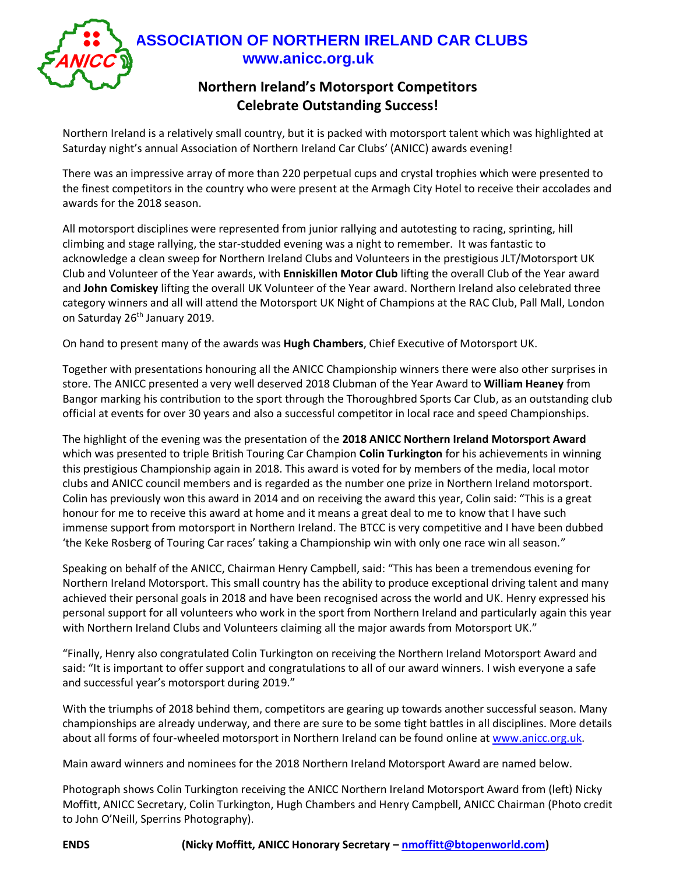

## **ASSOCIATION OF NORTHERN IRELAND CAR CLUBS www.anicc.org.uk**

#### **Northern Ireland's Motorsport Competitors Celebrate Outstanding Success!**

Northern Ireland is a relatively small country, but it is packed with motorsport talent which was highlighted at Saturday night's annual Association of Northern Ireland Car Clubs' (ANICC) awards evening!

There was an impressive array of more than 220 perpetual cups and crystal trophies which were presented to the finest competitors in the country who were present at the Armagh City Hotel to receive their accolades and awards for the 2018 season.

All motorsport disciplines were represented from junior rallying and autotesting to racing, sprinting, hill climbing and stage rallying, the star-studded evening was a night to remember. It was fantastic to acknowledge a clean sweep for Northern Ireland Clubs and Volunteers in the prestigious JLT/Motorsport UK Club and Volunteer of the Year awards, with **Enniskillen Motor Club** lifting the overall Club of the Year award and **John Comiskey** lifting the overall UK Volunteer of the Year award. Northern Ireland also celebrated three category winners and all will attend the Motorsport UK Night of Champions at the RAC Club, Pall Mall, London on Saturday 26<sup>th</sup> January 2019.

On hand to present many of the awards was **Hugh Chambers**, Chief Executive of Motorsport UK.

Together with presentations honouring all the ANICC Championship winners there were also other surprises in store. The ANICC presented a very well deserved 2018 Clubman of the Year Award to **William Heaney** from Bangor marking his contribution to the sport through the Thoroughbred Sports Car Club, as an outstanding club official at events for over 30 years and also a successful competitor in local race and speed Championships.

The highlight of the evening was the presentation of the **2018 ANICC Northern Ireland Motorsport Award** which was presented to triple British Touring Car Champion **Colin Turkington** for his achievements in winning this prestigious Championship again in 2018. This award is voted for by members of the media, local motor clubs and ANICC council members and is regarded as the number one prize in Northern Ireland motorsport. Colin has previously won this award in 2014 and on receiving the award this year, Colin said: "This is a great honour for me to receive this award at home and it means a great deal to me to know that I have such immense support from motorsport in Northern Ireland. The BTCC is very competitive and I have been dubbed 'the Keke Rosberg of Touring Car races' taking a Championship win with only one race win all season."

Speaking on behalf of the ANICC, Chairman Henry Campbell, said: "This has been a tremendous evening for Northern Ireland Motorsport. This small country has the ability to produce exceptional driving talent and many achieved their personal goals in 2018 and have been recognised across the world and UK. Henry expressed his personal support for all volunteers who work in the sport from Northern Ireland and particularly again this year with Northern Ireland Clubs and Volunteers claiming all the major awards from Motorsport UK."

"Finally, Henry also congratulated Colin Turkington on receiving the Northern Ireland Motorsport Award and said: "It is important to offer support and congratulations to all of our award winners. I wish everyone a safe and successful year's motorsport during 2019."

With the triumphs of 2018 behind them, competitors are gearing up towards another successful season. Many championships are already underway, and there are sure to be some tight battles in all disciplines. More details about all forms of four-wheeled motorsport in Northern Ireland can be found online at [www.anicc.org.uk.](http://www.anicc.org.uk/)

Main award winners and nominees for the 2018 Northern Ireland Motorsport Award are named below.

Photograph shows Colin Turkington receiving the ANICC Northern Ireland Motorsport Award from (left) Nicky Moffitt, ANICC Secretary, Colin Turkington, Hugh Chambers and Henry Campbell, ANICC Chairman (Photo credit to John O'Neill, Sperrins Photography).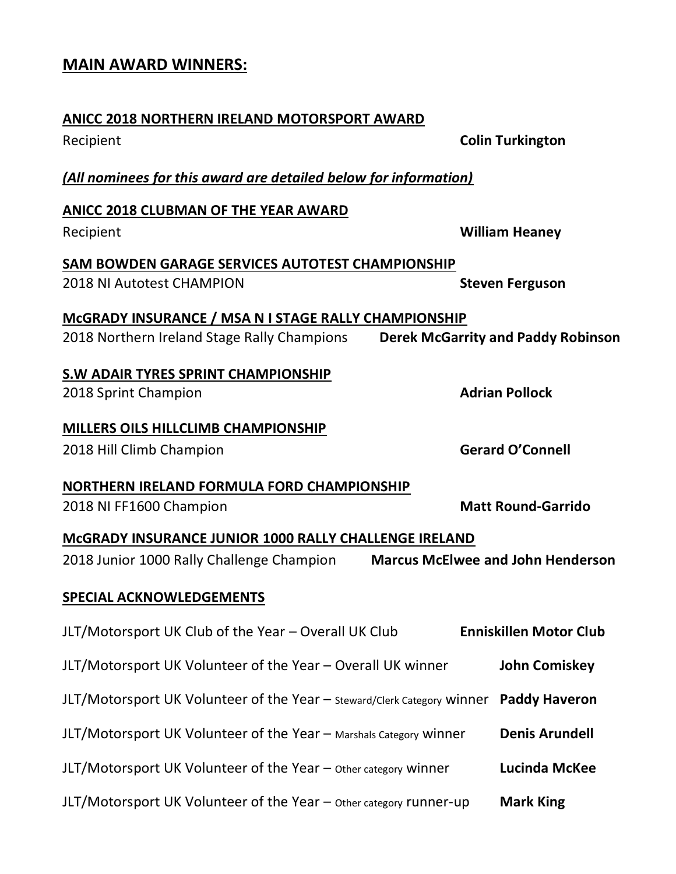### **MAIN AWARD WINNERS:**

# **ANICC 2018 NORTHERN IRELAND MOTORSPORT AWARD** Recipient **Colin Turkington** *(All nominees for this award are detailed below for information)* **ANICC 2018 CLUBMAN OF THE YEAR AWARD** Recipient **William Heaney SAM BOWDEN GARAGE SERVICES AUTOTEST CHAMPIONSHIP** 2018 NI Autotest CHAMPION **Steven Ferguson McGRADY INSURANCE / MSA N I STAGE RALLY CHAMPIONSHIP** 2018 Northern Ireland Stage Rally Champions **Derek McGarrity and Paddy Robinson S.W ADAIR TYRES SPRINT CHAMPIONSHIP** 2018 Sprint Champion **Adrian Pollock MILLERS OILS HILLCLIMB CHAMPIONSHIP** 2018 Hill Climb Champion **Gerard O'Connell NORTHERN IRELAND FORMULA FORD CHAMPIONSHIP** 2018 NI FF1600 Champion **Matt Round-Garrido McGRADY INSURANCE JUNIOR 1000 RALLY CHALLENGE IRELAND** 2018 Junior 1000 Rally Challenge Champion **Marcus McElwee and John Henderson SPECIAL ACKNOWLEDGEMENTS** JLT/Motorsport UK Club of the Year – Overall UK Club **Enniskillen Motor Club** JLT/Motorsport UK Volunteer of the Year – Overall UK winner **John Comiskey** JLT/Motorsport UK Volunteer of the Year – Steward/Clerk Category winner **Paddy Haveron** JLT/Motorsport UK Volunteer of the Year – Marshals Category winner **Denis Arundell** JLT/Motorsport UK Volunteer of the Year – Other category winner **Lucinda McKee** JLT/Motorsport UK Volunteer of the Year – Other category runner-up **Mark King**